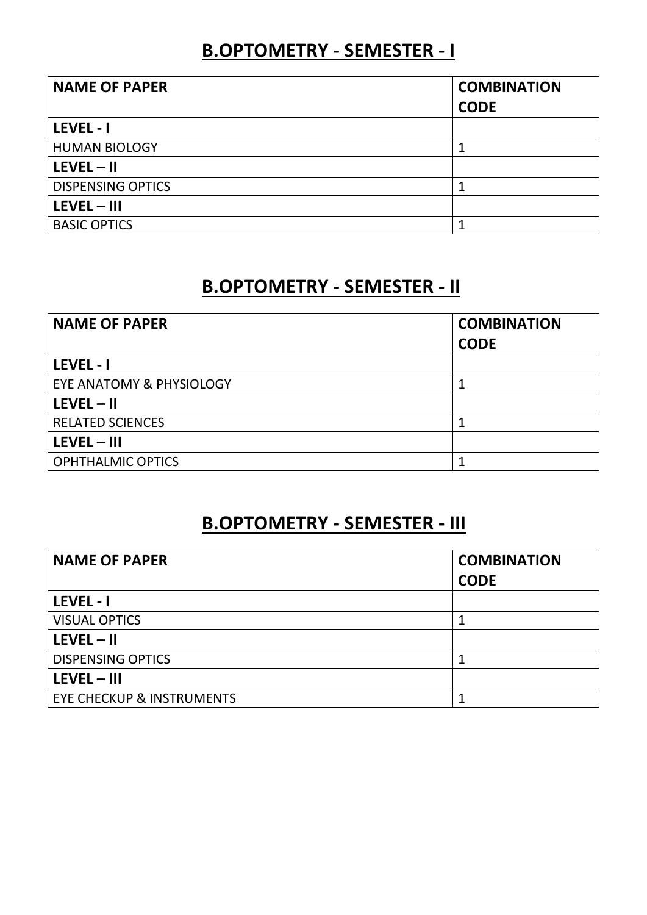### B.OPTOMETRY - SEMESTER - I

| <b>NAME OF PAPER</b>     | <b>COMBINATION</b> |
|--------------------------|--------------------|
|                          | <b>CODE</b>        |
| LEVEL - I                |                    |
| <b>HUMAN BIOLOGY</b>     |                    |
| $LEVEL - II$             |                    |
| <b>DISPENSING OPTICS</b> |                    |
| $LEVEL - III$            |                    |
| <b>BASIC OPTICS</b>      |                    |

#### B.OPTOMETRY - SEMESTER - II

| <b>NAME OF PAPER</b>     | <b>COMBINATION</b><br><b>CODE</b> |
|--------------------------|-----------------------------------|
| LEVEL-I                  |                                   |
| EYE ANATOMY & PHYSIOLOGY |                                   |
| $LEVEL - II$             |                                   |
| <b>RELATED SCIENCES</b>  |                                   |
| $LEVEL - III$            |                                   |
| <b>OPHTHALMIC OPTICS</b> |                                   |

# B.OPTOMETRY - SEMESTER - III

| <b>NAME OF PAPER</b>                 | <b>COMBINATION</b> |
|--------------------------------------|--------------------|
|                                      | <b>CODE</b>        |
| LEVEL-I                              |                    |
| <b>VISUAL OPTICS</b>                 |                    |
| $LEVEL - II$                         |                    |
| <b>DISPENSING OPTICS</b>             |                    |
| $LEVEL - III$                        |                    |
| <b>EYE CHECKUP &amp; INSTRUMENTS</b> |                    |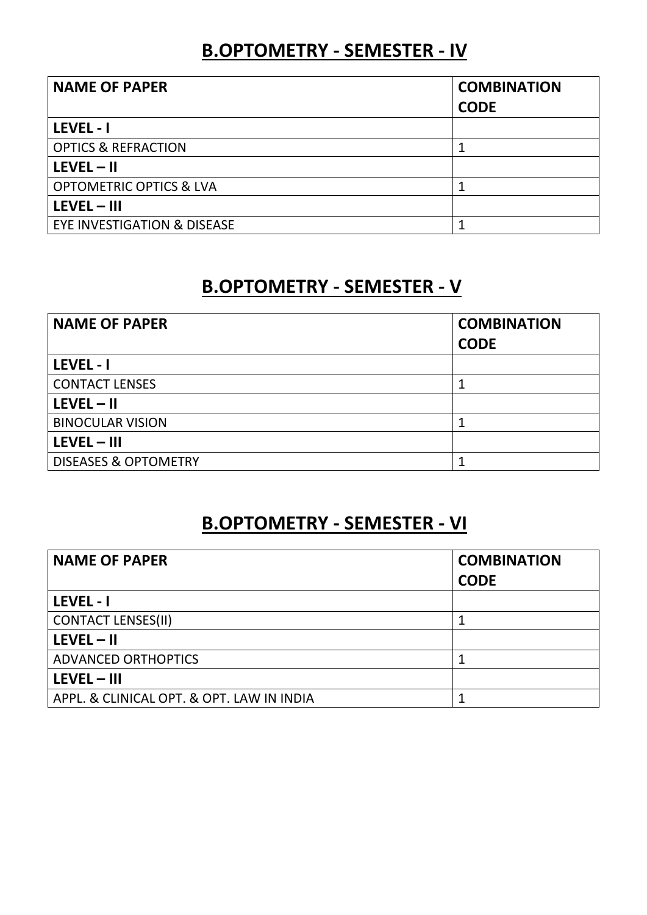### B.OPTOMETRY - SEMESTER - IV

| <b>NAME OF PAPER</b>                   | <b>COMBINATION</b> |
|----------------------------------------|--------------------|
|                                        | <b>CODE</b>        |
| LEVEL - I                              |                    |
| <b>OPTICS &amp; REFRACTION</b>         |                    |
| $LEVEL - II$                           |                    |
| <b>OPTOMETRIC OPTICS &amp; LVA</b>     |                    |
| $LEVEL - III$                          |                    |
| <b>EYE INVESTIGATION &amp; DISEASE</b> |                    |

#### B.OPTOMETRY - SEMESTER - V

| <b>NAME OF PAPER</b>            | <b>COMBINATION</b><br><b>CODE</b> |
|---------------------------------|-----------------------------------|
| LEVEL - I                       |                                   |
| <b>CONTACT LENSES</b>           |                                   |
| $LEVEL - II$                    |                                   |
| <b>BINOCULAR VISION</b>         |                                   |
| $LEVEL - III$                   |                                   |
| <b>DISEASES &amp; OPTOMETRY</b> |                                   |

## B.OPTOMETRY - SEMESTER - VI

| <b>NAME OF PAPER</b>                      | <b>COMBINATION</b> |
|-------------------------------------------|--------------------|
|                                           | <b>CODE</b>        |
| LEVEL-I                                   |                    |
| <b>CONTACT LENSES(II)</b>                 |                    |
| $LEVEL - II$                              |                    |
| <b>ADVANCED ORTHOPTICS</b>                |                    |
| $LEVEL - III$                             |                    |
| APPL. & CLINICAL OPT. & OPT. LAW IN INDIA |                    |